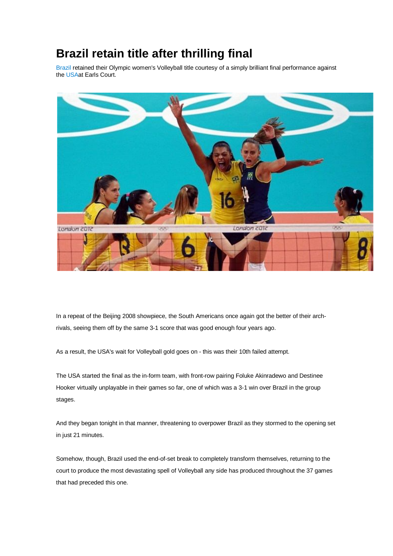## **Brazil retain title after thrilling final**

Brazil retained their Olympic women's Volleyball title courtesy of a simply brilliant final performance against the USAat Earls Court.



In a repeat of the Beijing 2008 showpiece, the South Americans once again got the better of their archrivals, seeing them off by the same 3-1 score that was good enough four years ago.

As a result, the USA's wait for Volleyball gold goes on - this was their 10th failed attempt.

The USA started the final as the in-form team, with front-row pairing Foluke Akinradewo and Destinee Hooker virtually unplayable in their games so far, one of which was a 3-1 win over Brazil in the group stages.

And they began tonight in that manner, threatening to overpower Brazil as they stormed to the opening set in just 21 minutes.

Somehow, though, Brazil used the end-of-set break to completely transform themselves, returning to the court to produce the most devastating spell of Volleyball any side has produced throughout the 37 games that had preceded this one.